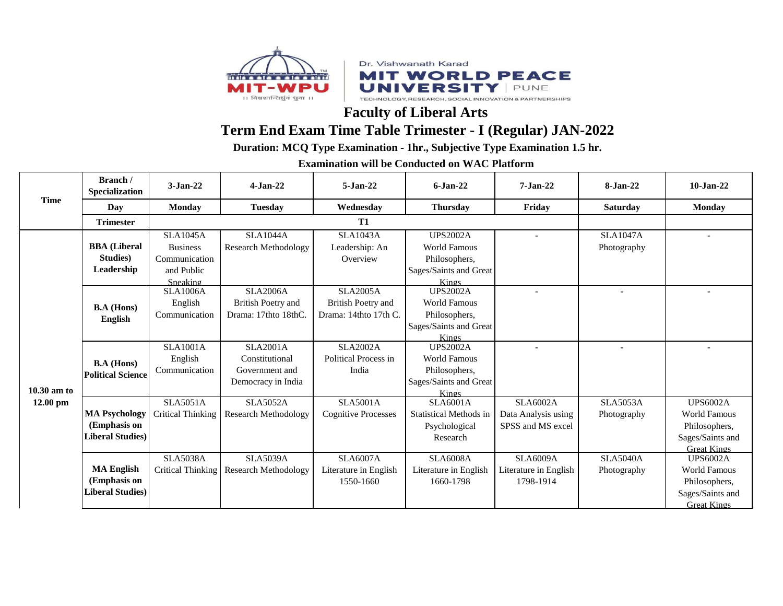

Dr. Vishwanath Karad **MIT WORLD PEACE** UNIVERSITY PUNE TECHNOLOGY, RESEARCH, SOCIAL INNOVATION & PARTNERSHIPS

## **Faculty of Liberal Arts**

## **Term End Exam Time Table Trimester - I (Regular) JAN-2022**

**Duration: MCQ Type Examination - 1hr., Subjective Type Examination 1.5 hr.**

**Examination will be Conducted on WAC Platform** 

| <b>Time</b>               | Branch /<br><b>Specialization</b>             | $3 - Jan - 22$           | $4-Jan-22$                  | $5 - Jan - 22$             | $6 - Jan - 22$                  | $7 - Jan-22$          | 8-Jan-22        | $10 - Jan - 22$     |
|---------------------------|-----------------------------------------------|--------------------------|-----------------------------|----------------------------|---------------------------------|-----------------------|-----------------|---------------------|
|                           | Day                                           | Monday                   | <b>Tuesday</b>              | Wednesdav                  | <b>Thursday</b>                 | Friday                | Saturday        | <b>Monday</b>       |
|                           | <b>Trimester</b>                              |                          |                             | <b>T1</b>                  |                                 |                       |                 |                     |
| $10.30$ am to<br>12.00 pm |                                               | <b>SLA1045A</b>          | <b>SLA1044A</b>             | <b>SLA1043A</b>            | <b>UPS2002A</b>                 |                       | <b>SLA1047A</b> |                     |
|                           | <b>BBA</b> (Liberal                           | <b>Business</b>          | <b>Research Methodology</b> | Leadership: An             | <b>World Famous</b>             |                       | Photography     |                     |
|                           | Studies)                                      | Communication            |                             | Overview                   | Philosophers,                   |                       |                 |                     |
|                           | Leadership                                    | and Public               |                             |                            | Sages/Saints and Great          |                       |                 |                     |
|                           |                                               | Speaking                 |                             |                            | <b>Kings</b>                    |                       |                 |                     |
|                           | <b>B.A</b> (Hons)<br>English                  | <b>SLA1006A</b>          | <b>SLA2006A</b>             | <b>SLA2005A</b>            | <b>UPS2002A</b>                 |                       |                 |                     |
|                           |                                               | English                  | British Poetry and          | British Poetry and         | <b>World Famous</b>             |                       |                 |                     |
|                           |                                               | Communication            | Drama: 17thto 18thC.        | Drama: 14thto 17th C.      | Philosophers,                   |                       |                 |                     |
|                           |                                               |                          |                             |                            | Sages/Saints and Great          |                       |                 |                     |
|                           |                                               | <b>SLA1001A</b>          | <b>SLA2001A</b>             | <b>SLA2002A</b>            | Kings<br><b>UPS2002A</b>        |                       |                 |                     |
|                           | <b>B.A</b> (Hons)<br><b>Political Science</b> |                          | Constitutional              | Political Process in       | <b>World Famous</b>             |                       |                 |                     |
|                           |                                               | English<br>Communication | Government and              | India                      |                                 |                       |                 |                     |
|                           |                                               |                          |                             |                            | Philosophers,                   |                       |                 |                     |
|                           |                                               |                          | Democracy in India          |                            | Sages/Saints and Great<br>Kings |                       |                 |                     |
|                           |                                               | <b>SLA5051A</b>          | SLA5052A                    | <b>SLA5001A</b>            | <b>SLA6001A</b>                 | <b>SLA6002A</b>       | <b>SLA5053A</b> | UPS6002A            |
|                           | <b>MA Psychology</b>                          | <b>Critical Thinking</b> | <b>Research Methodology</b> | <b>Cognitive Processes</b> | <b>Statistical Methods in</b>   | Data Analysis using   | Photography     | <b>World Famous</b> |
|                           | (Emphasis on                                  |                          |                             |                            | Psychological                   | SPSS and MS excel     |                 | Philosophers,       |
|                           | <b>Liberal Studies)</b>                       |                          |                             |                            | Research                        |                       |                 | Sages/Saints and    |
|                           |                                               |                          |                             |                            |                                 |                       |                 | <b>Great Kings</b>  |
|                           |                                               | <b>SLA5038A</b>          | <b>SLA5039A</b>             | <b>SLA6007A</b>            | <b>SLA6008A</b>                 | <b>SLA6009A</b>       | <b>SLA5040A</b> | <b>UPS6002A</b>     |
|                           | <b>MA English</b>                             | <b>Critical Thinking</b> | <b>Research Methodology</b> | Literature in English      | Literature in English           | Literature in English | Photography     | World Famous        |
|                           | (Emphasis on                                  |                          |                             | 1550-1660                  | 1660-1798                       | 1798-1914             |                 | Philosophers,       |
|                           | Liberal Studies)                              |                          |                             |                            |                                 |                       |                 | Sages/Saints and    |
|                           |                                               |                          |                             |                            |                                 |                       |                 | <b>Great Kings</b>  |